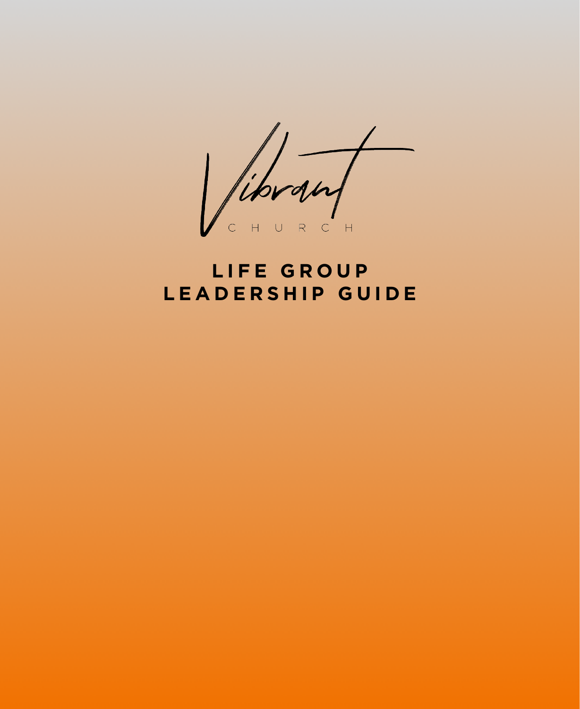libr HURC Ċ

# **LIFE GROUP LEADERSHIP GUIDE**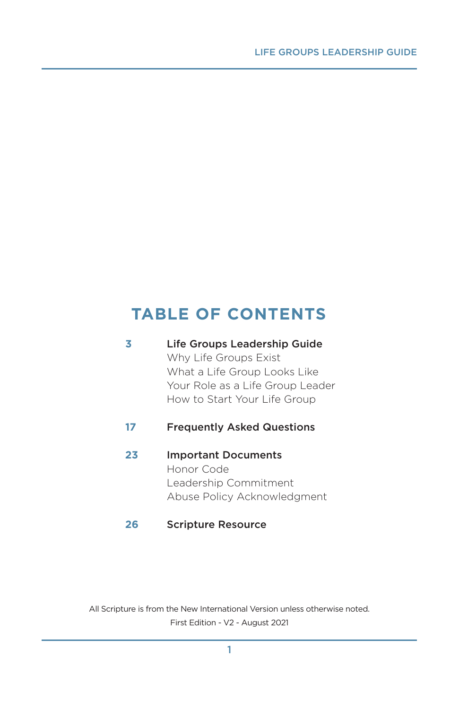# **TABLE OF CONTENTS**

- **3** Life Groups Leadership Guide Why Life Groups Exist What a Life Group Looks Like Your Role as a Life Group Leader How to Start Your Life Group **17** Frequently Asked Questions **23** Important Documents Honor Code Leadership Commitment Abuse Policy Acknowledgment
- **26** Scripture Resource

All Scripture is from the New International Version unless otherwise noted. First Edition - V2 - August 2021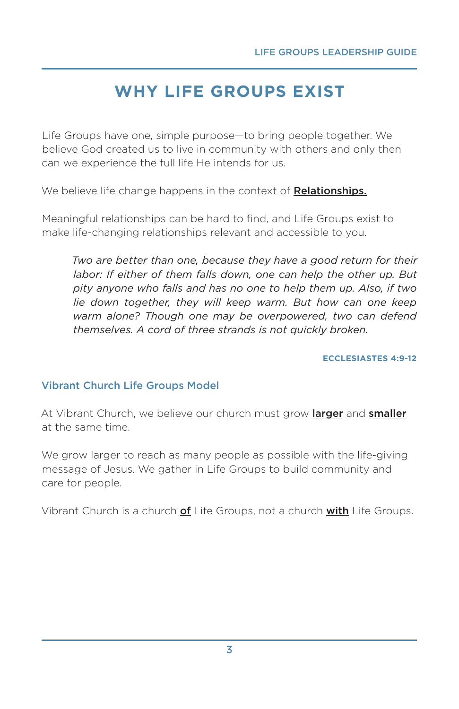# **WHY LIFE GROUPS EXIST**

Life Groups have one, simple purpose—to bring people together. We believe God created us to live in community with others and only then can we experience the full life He intends for us.

We believe life change happens in the context of **Relationships.** 

Meaningful relationships can be hard to find, and Life Groups exist to make life-changing relationships relevant and accessible to you.

*Two are better than one, because they have a good return for their labor: If either of them falls down, one can help the other up. But pity anyone who falls and has no one to help them up. Also, if two lie down together, they will keep warm. But how can one keep warm alone? Though one may be overpowered, two can defend themselves. A cord of three strands is not quickly broken.*

#### **ECCLESIASTES 4:9-12**

## Vibrant Church Life Groups Model

At Vibrant Church, we believe our church must grow larger and smaller at the same time.

We grow larger to reach as many people as possible with the life-giving message of Jesus. We gather in Life Groups to build community and care for people.

Vibrant Church is a church of Life Groups, not a church with Life Groups.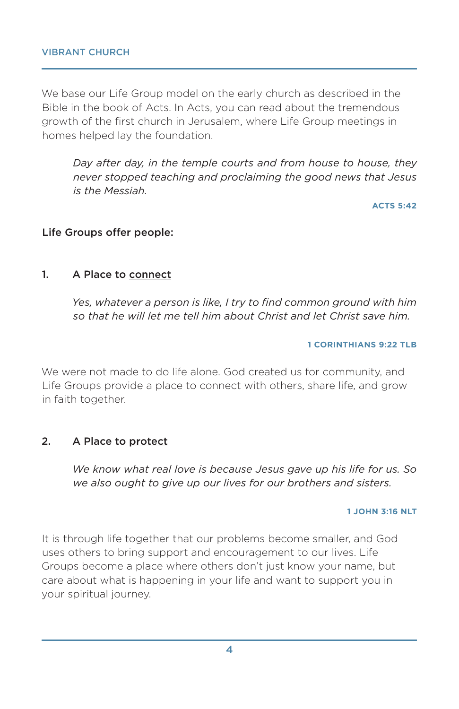#### VIBRANT CHURCH

We base our Life Group model on the early church as described in the Bible in the book of Acts. In Acts, you can read about the tremendous growth of the first church in Jerusalem, where Life Group meetings in homes helped lay the foundation.

*Day after day, in the temple courts and from house to house, they never stopped teaching and proclaiming the good news that Jesus is the Messiah.*

**ACTS 5:42**

## Life Groups offer people:

## 1. A Place to connect

*Yes, whatever a person is like, I try to find common ground with him so that he will let me tell him about Christ and let Christ save him.*

#### **1 CORINTHIANS 9:22 TLB**

We were not made to do life alone. God created us for community, and Life Groups provide a place to connect with others, share life, and grow in faith together.

## 2. A Place to protect

*We know what real love is because Jesus gave up his life for us. So we also ought to give up our lives for our brothers and sisters.*

#### **1 JOHN 3:16 NLT**

It is through life together that our problems become smaller, and God uses others to bring support and encouragement to our lives. Life Groups become a place where others don't just know your name, but care about what is happening in your life and want to support you in your spiritual journey.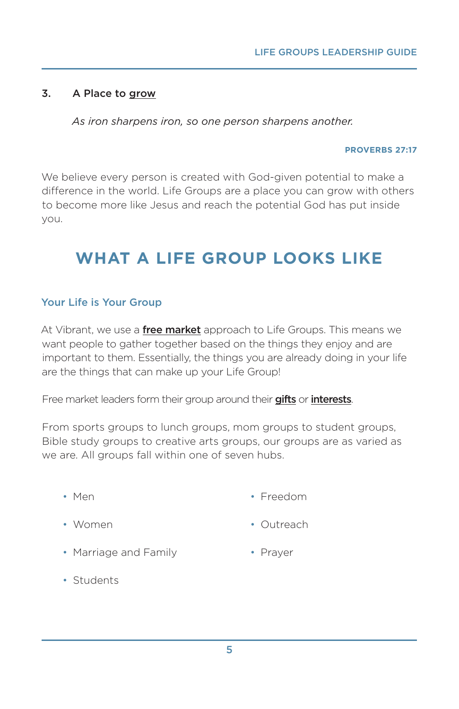## 3. A Place to grow

*As iron sharpens iron, so one person sharpens another.*

#### **PROVERBS 27:17**

We believe every person is created with God-given potential to make a difference in the world. Life Groups are a place you can grow with others to become more like Jesus and reach the potential God has put inside you.

# **WHAT A LIFE GROUP LOOKS LIKE**

### Your Life is Your Group

At Vibrant, we use a *free market* approach to Life Groups. This means we want people to gather together based on the things they enjoy and are important to them. Essentially, the things you are already doing in your life are the things that can make up your Life Group!

Free market leaders form their group around their gifts or interests.

From sports groups to lunch groups, mom groups to student groups, Bible study groups to creative arts groups, our groups are as varied as we are. All groups fall within one of seven hubs.

- Men
- Women
- Marriage and Family
- Freedom
- Outreach
- Prayer

• Students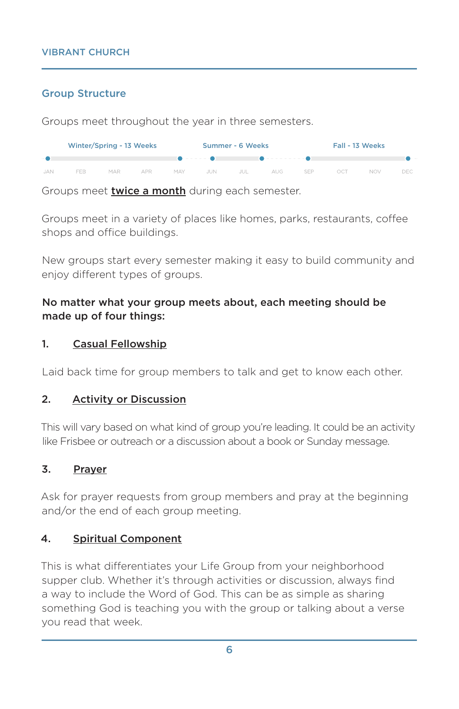## Group Structure

Groups meet throughout the year in three semesters.

|       | Winter/Spring - 13 Weeks | Summer - 6 Weeks |  |  |         |       | Fall - 13 Weeks |         |       |      |     |
|-------|--------------------------|------------------|--|--|---------|-------|-----------------|---------|-------|------|-----|
|       |                          |                  |  |  |         |       |                 |         |       |      |     |
| . JAN | FFB.                     | MAR              |  |  | MAY JUN | JUL - |                 | AUG SEP | OCT - | NOV. | DEC |

Groups meet twice a month during each semester.

Groups meet in a variety of places like homes, parks, restaurants, coffee shops and office buildings.

New groups start every semester making it easy to build community and enjoy different types of groups.

## No matter what your group meets about, each meeting should be made up of four things:

## 1. Casual Fellowship

Laid back time for group members to talk and get to know each other.

## 2. Activity or Discussion

This will vary based on what kind of group you're leading. It could be an activity like Frisbee or outreach or a discussion about a book or Sunday message.

## 3. Prayer

Ask for prayer requests from group members and pray at the beginning and/or the end of each group meeting.

## 4. Spiritual Component

This is what differentiates your Life Group from your neighborhood supper club. Whether it's through activities or discussion, always find a way to include the Word of God. This can be as simple as sharing something God is teaching you with the group or talking about a verse you read that week.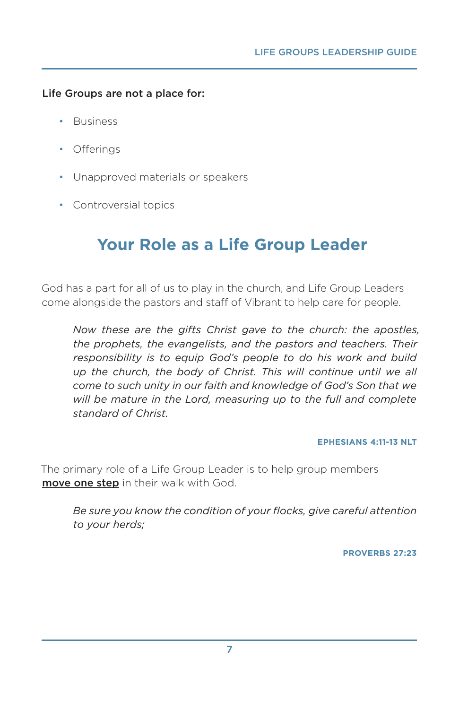## Life Groups are not a place for:

- Business
- Offerings
- Unapproved materials or speakers
- Controversial topics

# **Your Role as a Life Group Leader**

God has a part for all of us to play in the church, and Life Group Leaders come alongside the pastors and staff of Vibrant to help care for people.

*Now these are the gifts Christ gave to the church: the apostles, the prophets, the evangelists, and the pastors and teachers. Their responsibility is to equip God's people to do his work and build up the church, the body of Christ. This will continue until we all come to such unity in our faith and knowledge of God's Son that we will be mature in the Lord, measuring up to the full and complete standard of Christ.*

#### **EPHESIANS 4:11-13 NLT**

The primary role of a Life Group Leader is to help group members move one step in their walk with God.

*Be sure you know the condition of your flocks, give careful attention to your herds;*

**PROVERBS 27:23**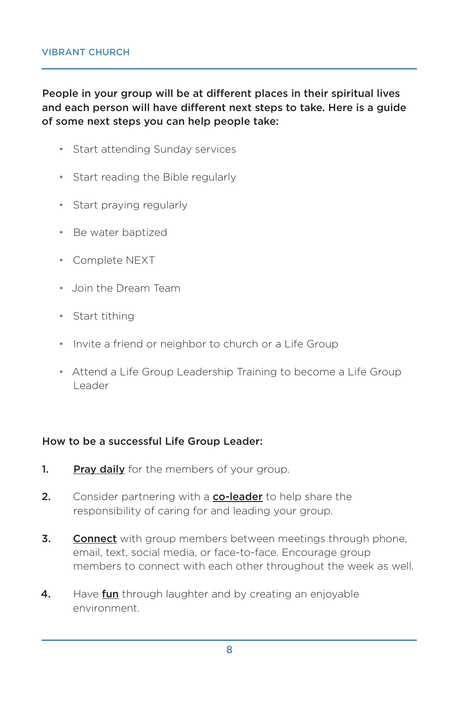People in your group will be at different places in their spiritual lives and each person will have different next steps to take. Here is a guide of some next steps you can help people take:

- Start attending Sunday services
- Start reading the Bible regularly
- Start praying regularly
- Be water baptized
- Complete NEXT
- Join the Dream Team
- Start tithing
- Invite a friend or neighbor to church or a Life Group
- Attend a Life Group Leadership Training to become a Life Group Leader

## How to be a successful Life Group Leader:

- 1. Pray daily for the members of your group.
- 2. Consider partnering with a co-leader to help share the responsibility of caring for and leading your group.
- **3.** Connect with group members between meetings through phone. email, text, social media, or face-to-face. Encourage group members to connect with each other throughout the week as well.
- 4. Have fun through laughter and by creating an enjoyable environment.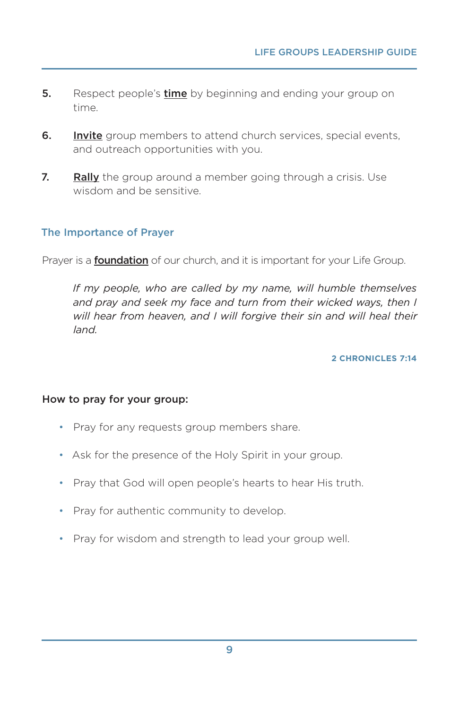- 5. Respect people's time by beginning and ending your group on time.
- **6.** Invite group members to attend church services, special events, and outreach opportunities with you.
- **7.** Rally the group around a member going through a crisis. Use wisdom and be sensitive.

# The Importance of Prayer

Prayer is a **foundation** of our church, and it is important for your Life Group.

*If my people, who are called by my name, will humble themselves*  and pray and seek my face and turn from their wicked ways, then I *will hear from heaven, and I will forgive their sin and will heal their land.*

#### **2 CHRONICLES 7:14**

## How to pray for your group:

- Pray for any requests group members share.
- Ask for the presence of the Holy Spirit in your group.
- Pray that God will open people's hearts to hear His truth.
- Pray for authentic community to develop.
- Pray for wisdom and strength to lead your group well.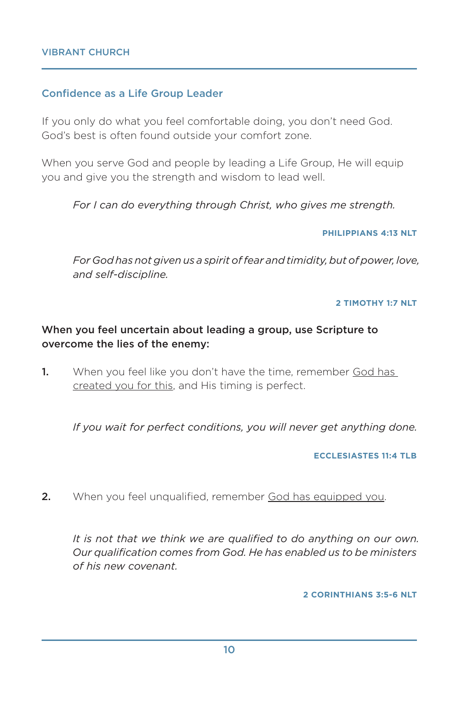## Confidence as a Life Group Leader

If you only do what you feel comfortable doing, you don't need God. God's best is often found outside your comfort zone.

When you serve God and people by leading a Life Group, He will equip you and give you the strength and wisdom to lead well.

*For I can do everything through Christ, who gives me strength.*

#### **PHILIPPIANS 4:13 NLT**

*For God has not given us a spirit of fear and timidity, but of power, love, and self-discipline.*

#### **2 TIMOTHY 1:7 NLT**

## When you feel uncertain about leading a group, use Scripture to overcome the lies of the enemy:

**1.** When you feel like you don't have the time, remember God has created you for this, and His timing is perfect.

*If you wait for perfect conditions, you will never get anything done.*

#### **ECCLESIASTES 11:4 TLB**

**2.** When you feel unqualified, remember God has equipped you.

*It is not that we think we are qualified to do anything on our own. Our qualification comes from God. He has enabled us to be ministers of his new covenant.*

**2 CORINTHIANS 3:5-6 NLT**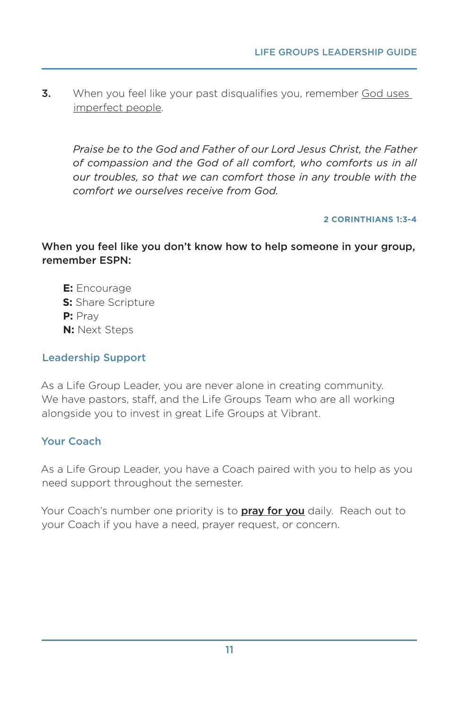3. When you feel like your past disqualifies you, remember God uses imperfect people.

*Praise be to the God and Father of our Lord Jesus Christ, the Father of compassion and the God of all comfort, who comforts us in all our troubles, so that we can comfort those in any trouble with the comfort we ourselves receive from God.*

### **2 CORINTHIANS 1:3-4**

## When you feel like you don't know how to help someone in your group, remember ESPN:

**E:** Encourage **S:** Share Scripture **P:** Pray **N:** Next Steps

## Leadership Support

As a Life Group Leader, you are never alone in creating community. We have pastors, staff, and the Life Groups Team who are all working alongside you to invest in great Life Groups at Vibrant.

## Your Coach

As a Life Group Leader, you have a Coach paired with you to help as you need support throughout the semester.

Your Coach's number one priority is to **pray for you** daily. Reach out to your Coach if you have a need, prayer request, or concern.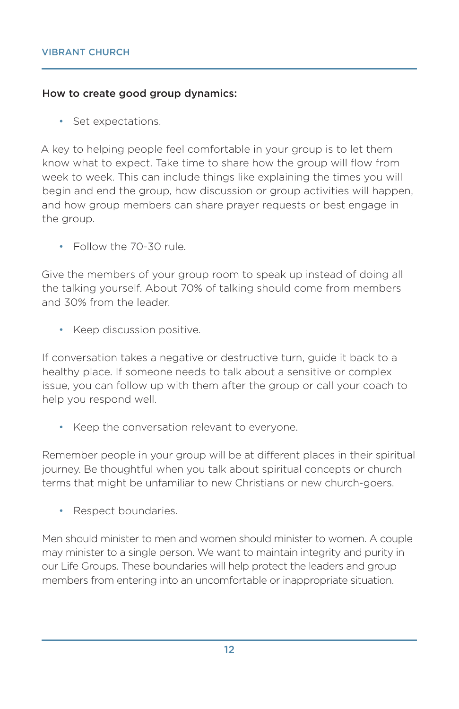## How to create good group dynamics:

• Set expectations.

A key to helping people feel comfortable in your group is to let them know what to expect. Take time to share how the group will flow from week to week. This can include things like explaining the times you will begin and end the group, how discussion or group activities will happen, and how group members can share prayer requests or best engage in the group.

• Follow the 70-30 rule.

Give the members of your group room to speak up instead of doing all the talking yourself. About 70% of talking should come from members and 30% from the leader.

• Keep discussion positive.

If conversation takes a negative or destructive turn, guide it back to a healthy place. If someone needs to talk about a sensitive or complex issue, you can follow up with them after the group or call your coach to help you respond well.

• Keep the conversation relevant to everyone.

Remember people in your group will be at different places in their spiritual journey. Be thoughtful when you talk about spiritual concepts or church terms that might be unfamiliar to new Christians or new church-goers.

• Respect boundaries.

Men should minister to men and women should minister to women. A couple may minister to a single person. We want to maintain integrity and purity in our Life Groups. These boundaries will help protect the leaders and group members from entering into an uncomfortable or inappropriate situation.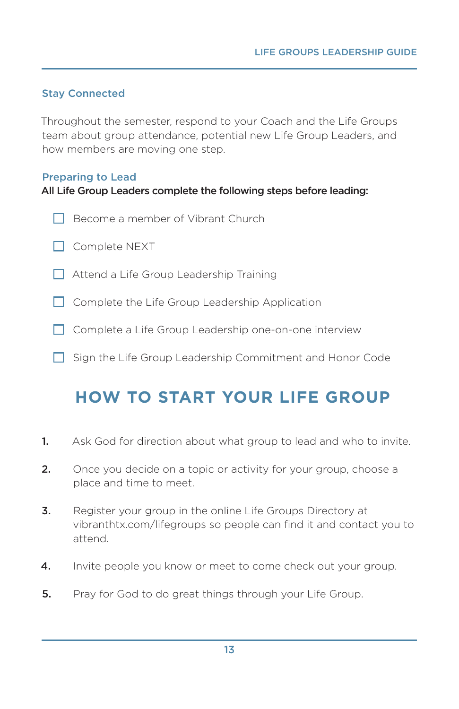## Stay Connected

Throughout the semester, respond to your Coach and the Life Groups team about group attendance, potential new Life Group Leaders, and how members are moving one step.

### Preparing to Lead

All Life Group Leaders complete the following steps before leading:

- $\Box$  Become a member of Vibrant Church
- Complete NEXT
- □ Attend a Life Group Leadership Training
- $\Box$  Complete the Life Group Leadership Application
- $\Box$  Complete a Life Group Leadership one-on-one interview
- $\Box$  Sign the Life Group Leadership Commitment and Honor Code

# **HOW TO START YOUR LIFE GROUP**

- 1. Ask God for direction about what group to lead and who to invite.
- 2. Once you decide on a topic or activity for your group, choose a place and time to meet.
- 3. Register your group in the online Life Groups Directory at vibranthtx.com/lifegroups so people can find it and contact you to attend.
- 4. Invite people you know or meet to come check out your group.
- 5. Pray for God to do great things through your Life Group.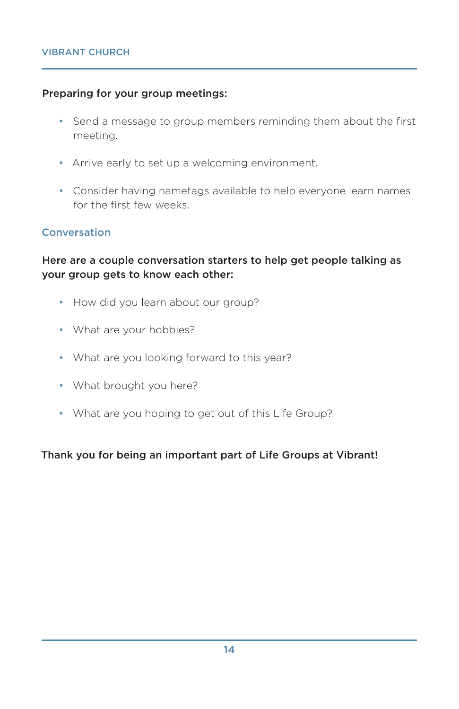### Preparing for your group meetings:

- Send a message to group members reminding them about the first meeting.
- Arrive early to set up a welcoming environment.
- Consider having nametags available to help everyone learn names for the first few weeks.

## Conversation

Here are a couple conversation starters to help get people talking as your group gets to know each other:

- How did you learn about our group?
- What are your hobbies?
- What are you looking forward to this year?
- What brought you here?
- What are you hoping to get out of this Life Group?

Thank you for being an important part of Life Groups at Vibrant!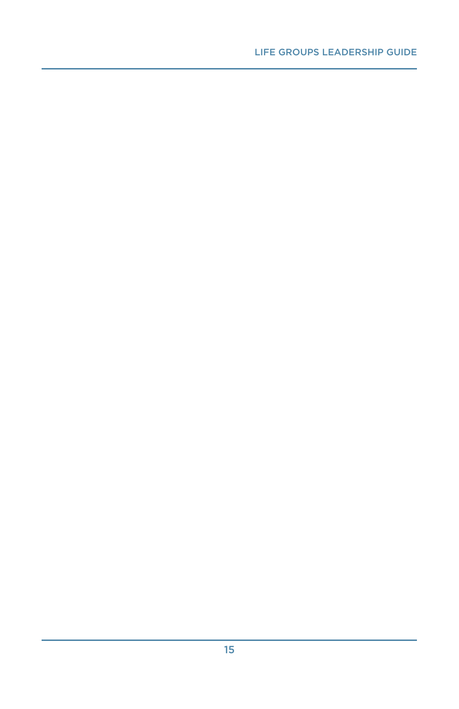### LIFE GROUPS LEADERSHIP GUIDE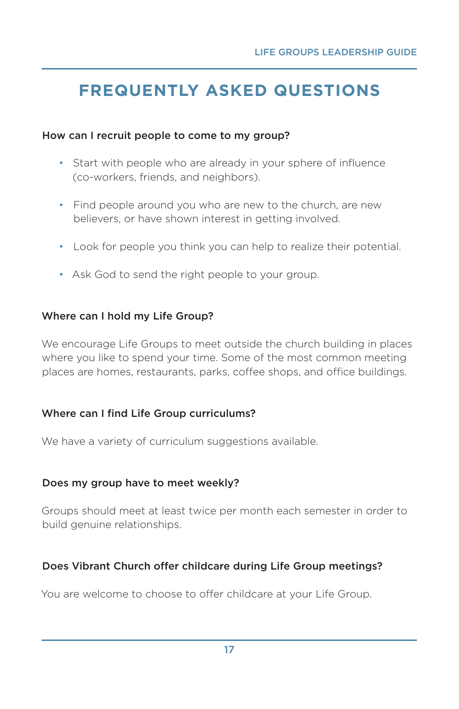# **FREQUENTLY ASKED QUESTIONS**

## How can I recruit people to come to my group?

- Start with people who are already in your sphere of influence (co-workers, friends, and neighbors).
- Find people around you who are new to the church, are new believers, or have shown interest in getting involved.
- Look for people you think you can help to realize their potential.
- Ask God to send the right people to your group.

## Where can I hold my Life Group?

We encourage Life Groups to meet outside the church building in places where you like to spend your time. Some of the most common meeting places are homes, restaurants, parks, coffee shops, and office buildings.

## Where can I find Life Group curriculums?

We have a variety of curriculum suggestions available.

## Does my group have to meet weekly?

Groups should meet at least twice per month each semester in order to build genuine relationships.

## Does Vibrant Church offer childcare during Life Group meetings?

You are welcome to choose to offer childcare at your Life Group.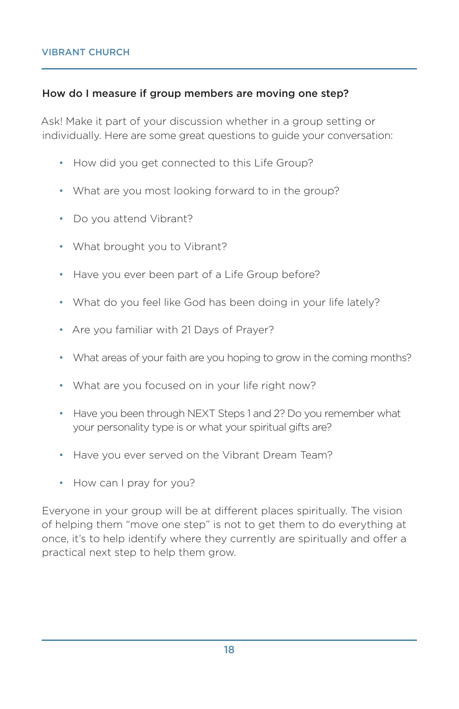## How do I measure if group members are moving one step?

Ask! Make it part of your discussion whether in a group setting or individually. Here are some great questions to guide your conversation:

- How did you get connected to this Life Group?
- What are you most looking forward to in the group?
- Do you attend Vibrant?
- What brought you to Vibrant?
- Have you ever been part of a Life Group before?
- What do you feel like God has been doing in your life lately?
- Are you familiar with 21 Days of Prayer?
- What areas of your faith are you hoping to grow in the coming months?
- What are you focused on in your life right now?
- Have you been through NEXT Steps 1 and 2? Do you remember what your personality type is or what your spiritual gifts are?
- Have you ever served on the Vibrant Dream Team?
- How can I pray for you?

Everyone in your group will be at different places spiritually. The vision of helping them "move one step" is not to get them to do everything at once, it's to help identify where they currently are spiritually and offer a practical next step to help them grow.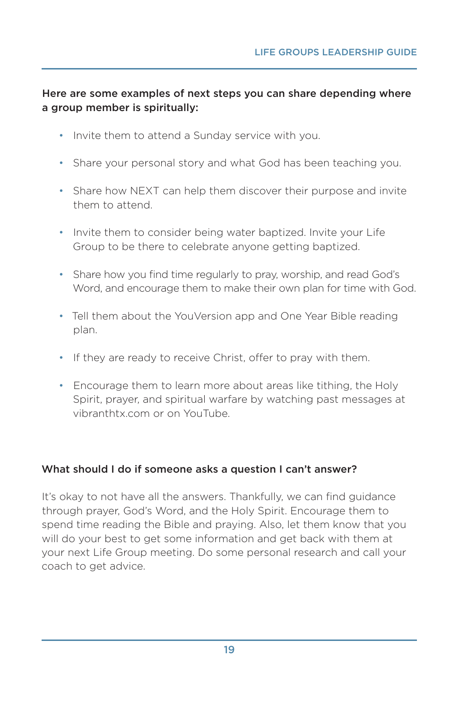# Here are some examples of next steps you can share depending where a group member is spiritually:

- Invite them to attend a Sunday service with you.
- Share your personal story and what God has been teaching you.
- Share how NEXT can help them discover their purpose and invite them to attend.
- Invite them to consider being water baptized. Invite your Life Group to be there to celebrate anyone getting baptized.
- Share how you find time regularly to pray, worship, and read God's Word, and encourage them to make their own plan for time with God.
- Tell them about the YouVersion app and One Year Bible reading plan.
- If they are ready to receive Christ, offer to pray with them.
- Encourage them to learn more about areas like tithing, the Holy Spirit, prayer, and spiritual warfare by watching past messages at vibranthtx.com or on YouTube.

## What should I do if someone asks a question I can't answer?

It's okay to not have all the answers. Thankfully, we can find guidance through prayer, God's Word, and the Holy Spirit. Encourage them to spend time reading the Bible and praying. Also, let them know that you will do your best to get some information and get back with them at your next Life Group meeting. Do some personal research and call your coach to get advice.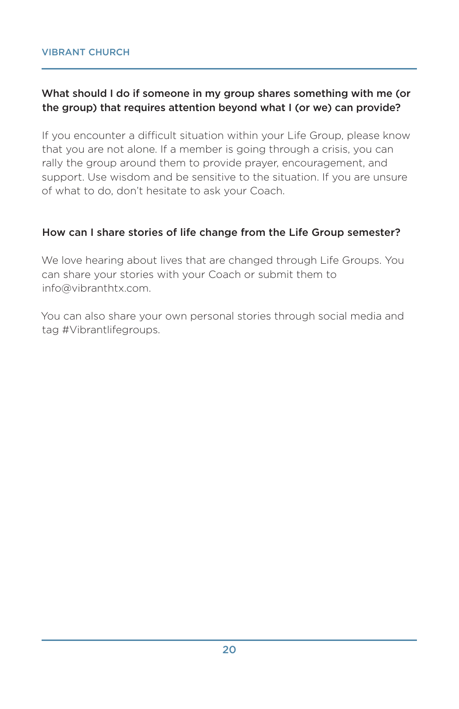## What should I do if someone in my group shares something with me (or the group) that requires attention beyond what I (or we) can provide?

If you encounter a difficult situation within your Life Group, please know that you are not alone. If a member is going through a crisis, you can rally the group around them to provide prayer, encouragement, and support. Use wisdom and be sensitive to the situation. If you are unsure of what to do, don't hesitate to ask your Coach.

# How can I share stories of life change from the Life Group semester?

We love hearing about lives that are changed through Life Groups. You can share your stories with your Coach or submit them to info@vibranthtx.com.

You can also share your own personal stories through social media and tag #Vibrantlifegroups.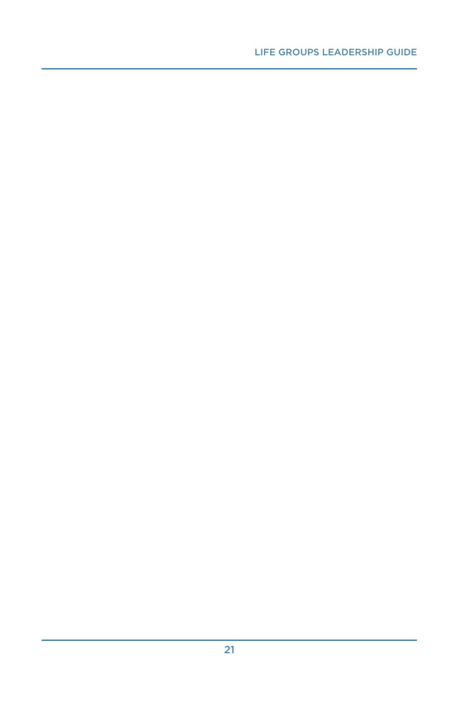### LIFE GROUPS LEADERSHIP GUIDE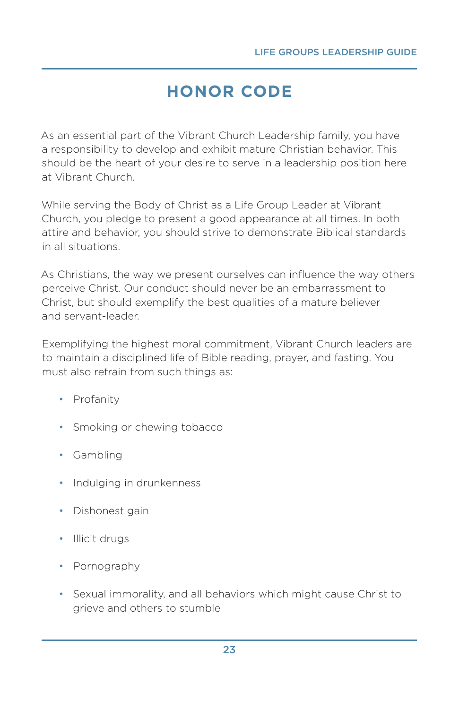# **HONOR CODE**

As an essential part of the Vibrant Church Leadership family, you have a responsibility to develop and exhibit mature Christian behavior. This should be the heart of your desire to serve in a leadership position here at Vibrant Church.

While serving the Body of Christ as a Life Group Leader at Vibrant Church, you pledge to present a good appearance at all times. In both attire and behavior, you should strive to demonstrate Biblical standards in all situations.

As Christians, the way we present ourselves can influence the way others perceive Christ. Our conduct should never be an embarrassment to Christ, but should exemplify the best qualities of a mature believer and servant-leader.

Exemplifying the highest moral commitment, Vibrant Church leaders are to maintain a disciplined life of Bible reading, prayer, and fasting. You must also refrain from such things as:

- Profanity
- Smoking or chewing tobacco
- Gambling
- Indulging in drunkenness
- Dishonest gain
- Illicit drugs
- Pornography
- Sexual immorality, and all behaviors which might cause Christ to grieve and others to stumble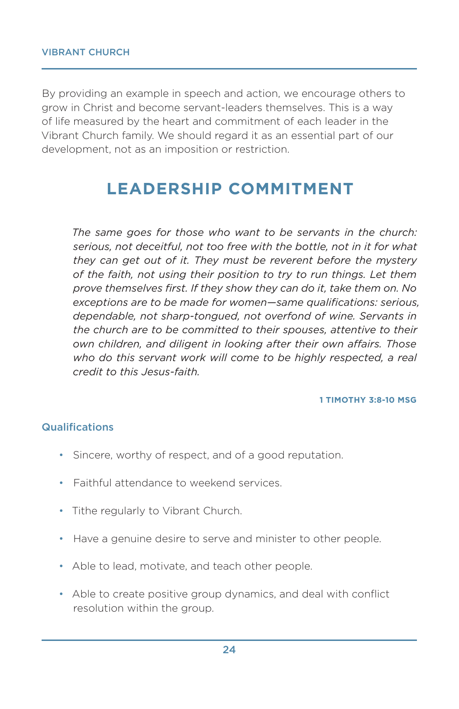By providing an example in speech and action, we encourage others to grow in Christ and become servant-leaders themselves. This is a way of life measured by the heart and commitment of each leader in the Vibrant Church family. We should regard it as an essential part of our development, not as an imposition or restriction.

# **LEADERSHIP COMMITMENT**

*The same goes for those who want to be servants in the church: serious, not deceitful, not too free with the bottle, not in it for what they can get out of it. They must be reverent before the mystery of the faith, not using their position to try to run things. Let them prove themselves first. If they show they can do it, take them on. No exceptions are to be made for women—same qualifications: serious, dependable, not sharp-tongued, not overfond of wine. Servants in the church are to be committed to their spouses, attentive to their own children, and diligent in looking after their own affairs. Those who do this servant work will come to be highly respected, a real credit to this Jesus-faith.*

#### **1 TIMOTHY 3:8-10 MSG**

## Qualifications

- Sincere, worthy of respect, and of a good reputation.
- Faithful attendance to weekend services.
- Tithe regularly to Vibrant Church.
- Have a genuine desire to serve and minister to other people.
- Able to lead, motivate, and teach other people.
- Able to create positive group dynamics, and deal with conflict resolution within the group.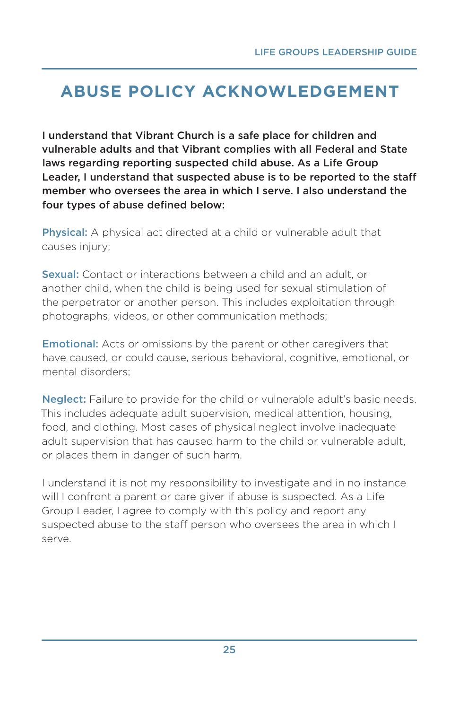# **ABUSE POLICY ACKNOWLEDGEMENT**

I understand that Vibrant Church is a safe place for children and vulnerable adults and that Vibrant complies with all Federal and State laws regarding reporting suspected child abuse. As a Life Group Leader, I understand that suspected abuse is to be reported to the staff member who oversees the area in which I serve. I also understand the four types of abuse defined below:

**Physical:** A physical act directed at a child or vulnerable adult that causes injury;

Sexual: Contact or interactions between a child and an adult, or another child, when the child is being used for sexual stimulation of the perpetrator or another person. This includes exploitation through photographs, videos, or other communication methods;

Emotional: Acts or omissions by the parent or other caregivers that have caused, or could cause, serious behavioral, cognitive, emotional, or mental disorders;

Neglect: Failure to provide for the child or vulnerable adult's basic needs. This includes adequate adult supervision, medical attention, housing, food, and clothing. Most cases of physical neglect involve inadequate adult supervision that has caused harm to the child or vulnerable adult, or places them in danger of such harm.

I understand it is not my responsibility to investigate and in no instance will I confront a parent or care giver if abuse is suspected. As a Life Group Leader, I agree to comply with this policy and report any suspected abuse to the staff person who oversees the area in which I serve.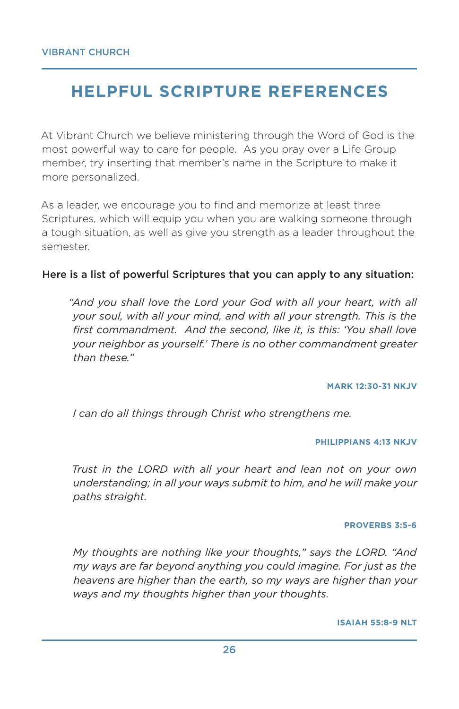# **HELPFUL SCRIPTURE REFERENCES**

At Vibrant Church we believe ministering through the Word of God is the most powerful way to care for people. As you pray over a Life Group member, try inserting that member's name in the Scripture to make it more personalized.

As a leader, we encourage you to find and memorize at least three Scriptures, which will equip you when you are walking someone through a tough situation, as well as give you strength as a leader throughout the semester.

Here is a list of powerful Scriptures that you can apply to any situation:

*"And you shall love the Lord your God with all your heart, with all your soul, with all your mind, and with all your strength. This is the first commandment. And the second, like it, is this: 'You shall love your neighbor as yourself.' There is no other commandment greater than these."*

#### **MARK 12:30-31 NKJV**

*I can do all things through Christ who strengthens me.*

#### **PHILIPPIANS 4:13 NKJV**

*Trust in the LORD with all your heart and lean not on your own understanding; in all your ways submit to him, and he will make your paths straight.*

#### **PROVERBS 3:5-6**

*My thoughts are nothing like your thoughts," says the LORD. "And my ways are far beyond anything you could imagine. For just as the heavens are higher than the earth, so my ways are higher than your ways and my thoughts higher than your thoughts.*

**ISAIAH 55:8-9 NLT**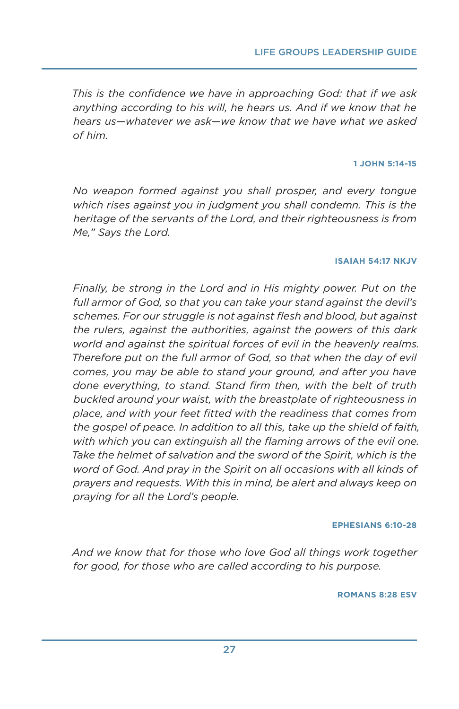*This is the confidence we have in approaching God: that if we ask*  anything according to his will, he hears us. And if we know that he *hears us—whatever we ask—we know that we have what we asked of him.*

#### **1 JOHN 5:14-15**

*No weapon formed against you shall prosper, and every tongue which rises against you in judgment you shall condemn. This is the heritage of the servants of the Lord, and their righteousness is from Me," Says the Lord.*

#### **ISAIAH 54:17 NKJV**

*Finally, be strong in the Lord and in His mighty power. Put on the full armor of God, so that you can take your stand against the devil's schemes. For our struggle is not against flesh and blood, but against the rulers, against the authorities, against the powers of this dark world and against the spiritual forces of evil in the heavenly realms. Therefore put on the full armor of God, so that when the day of evil comes, you may be able to stand your ground, and after you have done everything, to stand. Stand firm then, with the belt of truth buckled around your waist, with the breastplate of righteousness in place, and with your feet fitted with the readiness that comes from the gospel of peace. In addition to all this, take up the shield of faith, with which you can extinguish all the flaming arrows of the evil one. Take the helmet of salvation and the sword of the Spirit, which is the word of God. And pray in the Spirit on all occasions with all kinds of prayers and requests. With this in mind, be alert and always keep on praying for all the Lord's people.*

#### **EPHESIANS 6:10-28**

*And we know that for those who love God all things work together for good, for those who are called according to his purpose.*

**ROMANS 8:28 ESV**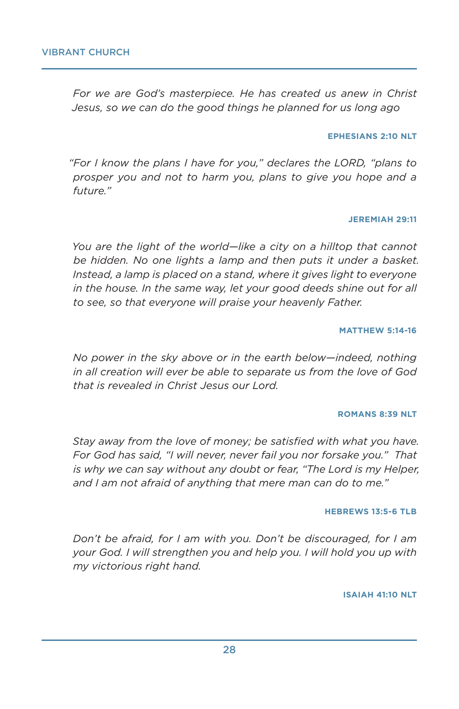*For we are God's masterpiece. He has created us anew in Christ Jesus, so we can do the good things he planned for us long ago*

#### **EPHESIANS 2:10 NLT**

*"For I know the plans I have for you," declares the LORD, "plans to prosper you and not to harm you, plans to give you hope and a future."*

#### **JEREMIAH 29:11**

*You are the light of the world—like a city on a hilltop that cannot be hidden. No one lights a lamp and then puts it under a basket. Instead, a lamp is placed on a stand, where it gives light to everyone in the house. In the same way, let your good deeds shine out for all to see, so that everyone will praise your heavenly Father.*

#### **MATTHEW 5:14-16**

*No power in the sky above or in the earth below—indeed, nothing in all creation will ever be able to separate us from the love of God that is revealed in Christ Jesus our Lord.*

#### **ROMANS 8:39 NLT**

*Stay away from the love of money; be satisfied with what you have. For God has said, "I will never, never fail you nor forsake you." That is why we can say without any doubt or fear, "The Lord is my Helper, and I am not afraid of anything that mere man can do to me."*

#### **HEBREWS 13:5-6 TLB**

*Don't be afraid, for I am with you. Don't be discouraged, for I am your God. I will strengthen you and help you. I will hold you up with my victorious right hand.*

**ISAIAH 41:10 NLT**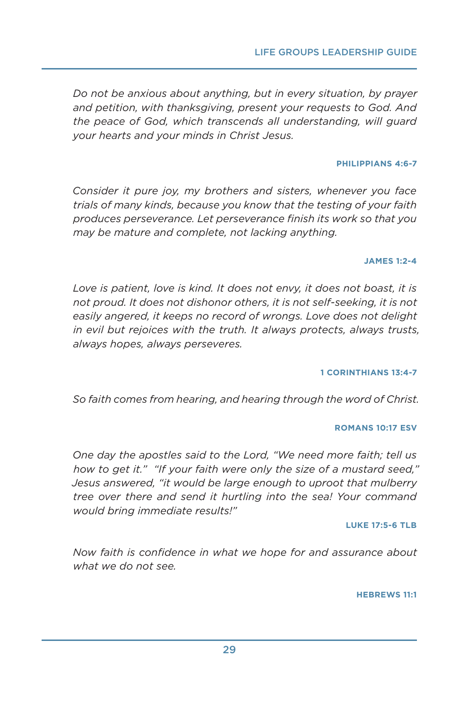*Do not be anxious about anything, but in every situation, by prayer and petition, with thanksgiving, present your requests to God. And the peace of God, which transcends all understanding, will guard your hearts and your minds in Christ Jesus.*

#### **PHILIPPIANS 4:6-7**

*Consider it pure joy, my brothers and sisters, whenever you face trials of many kinds, because you know that the testing of your faith produces perseverance. Let perseverance finish its work so that you may be mature and complete, not lacking anything.*

#### **JAMES 1:2-4**

Love is patient, love is kind. It does not envy, it does not boast, it is *not proud. It does not dishonor others, it is not self-seeking, it is not easily angered, it keeps no record of wrongs. Love does not delight in evil but rejoices with the truth. It always protects, always trusts, always hopes, always perseveres.*

#### **1 CORINTHIANS 13:4-7**

*So faith comes from hearing, and hearing through the word of Christ.*

#### **ROMANS 10:17 ESV**

*One day the apostles said to the Lord, "We need more faith; tell us how to get it." "If your faith were only the size of a mustard seed," Jesus answered, "it would be large enough to uproot that mulberry tree over there and send it hurtling into the sea! Your command would bring immediate results!"*

#### **LUKE 17:5-6 TLB**

*Now faith is confidence in what we hope for and assurance about what we do not see.*

#### **HEBREWS 11:1**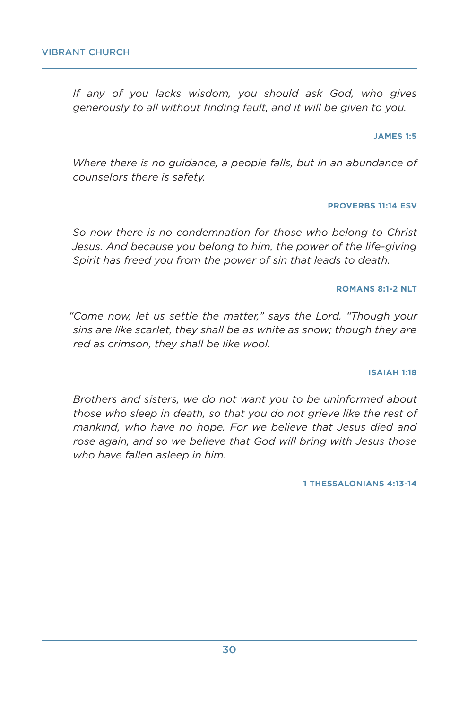*If any of you lacks wisdom, you should ask God, who gives generously to all without finding fault, and it will be given to you.*

#### **JAMES 1:5**

*Where there is no guidance, a people falls, but in an abundance of counselors there is safety.*

#### **PROVERBS 11:14 ESV**

*So now there is no condemnation for those who belong to Christ Jesus. And because you belong to him, the power of the life-giving Spirit has freed you from the power of sin that leads to death.*

#### **ROMANS 8:1-2 NLT**

*"Come now, let us settle the matter," says the Lord. "Though your sins are like scarlet, they shall be as white as snow; though they are red as crimson, they shall be like wool.*

#### **ISAIAH 1:18**

*Brothers and sisters, we do not want you to be uninformed about those who sleep in death, so that you do not grieve like the rest of mankind, who have no hope. For we believe that Jesus died and rose again, and so we believe that God will bring with Jesus those who have fallen asleep in him.*

**1 THESSALONIANS 4:13-14**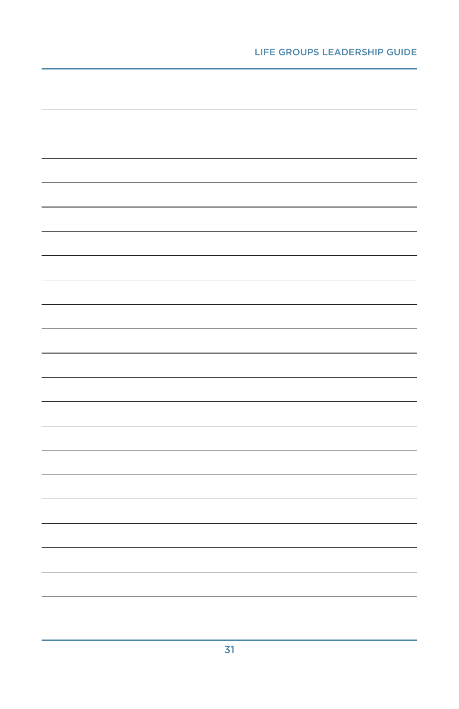### LIFE GROUPS LEADERSHIP GUIDE